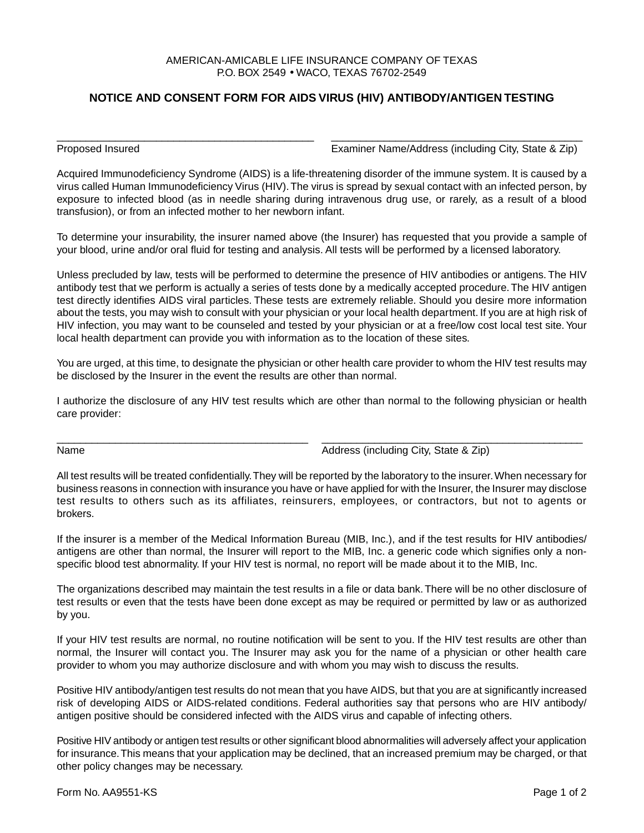## AMERICAN-AMICABLE LIFE INSURANCE COMPANY OF TEXAS P.O. BOX 2549 • WACO, TEXAS 76702-2549

## **NOTICE AND CONSENT FORM FOR AIDS VIRUS (HIV) ANTIBODY/ANTIGEN TESTING**

\_\_\_\_\_\_\_\_\_\_\_\_\_\_\_\_\_\_\_\_\_\_\_\_\_\_\_\_\_\_\_\_\_\_\_\_\_\_\_\_\_\_\_\_ \_\_\_\_\_\_\_\_\_\_\_\_\_\_\_\_\_\_\_\_\_\_\_\_\_\_\_\_\_\_\_\_\_\_\_\_\_\_\_\_\_\_\_

Proposed Insured Examiner Name/Address (including City, State & Zip)

Acquired Immunodeficiency Syndrome (AIDS) is a life-threatening disorder of the immune system. It is caused by a virus called Human Immunodeficiency Virus (HIV). The virus is spread by sexual contact with an infected person, by exposure to infected blood (as in needle sharing during intravenous drug use, or rarely, as a result of a blood transfusion), or from an infected mother to her newborn infant.

To determine your insurability, the insurer named above (the Insurer) has requested that you provide a sample of your blood, urine and/or oral fluid for testing and analysis. All tests will be performed by a licensed laboratory.

Unless precluded by law, tests will be performed to determine the presence of HIV antibodies or antigens. The HIV antibody test that we perform is actually a series of tests done by a medically accepted procedure. The HIV antigen test directly identifies AIDS viral particles. These tests are extremely reliable. Should you desire more information about the tests, you may wish to consult with your physician or your local health department. If you are at high risk of HIV infection, you may want to be counseled and tested by your physician or at a free/low cost local test site. Your local health department can provide you with information as to the location of these sites.

You are urged, at this time, to designate the physician or other health care provider to whom the HIV test results may be disclosed by the Insurer in the event the results are other than normal.

I authorize the disclosure of any HIV test results which are other than normal to the following physician or health care provider:

\_\_\_\_\_\_\_\_\_\_\_\_\_\_\_\_\_\_\_\_\_\_\_\_\_\_\_\_\_\_\_\_\_\_\_\_\_\_\_\_\_\_\_ \_\_\_\_\_\_\_\_\_\_\_\_\_\_\_\_\_\_\_\_\_\_\_\_\_\_\_\_\_\_\_\_\_\_\_\_\_\_\_\_\_\_\_\_\_

Name **Address** (including City, State & Zip)

All test results will be treated confidentially. They will be reported by the laboratory to the insurer. When necessary for business reasons in connection with insurance you have or have applied for with the Insurer, the Insurer may disclose test results to others such as its affiliates, reinsurers, employees, or contractors, but not to agents or brokers.

If the insurer is a member of the Medical Information Bureau (MIB, Inc.), and if the test results for HIV antibodies/ antigens are other than normal, the Insurer will report to the MIB, Inc. a generic code which signifies only a nonspecific blood test abnormality. If your HIV test is normal, no report will be made about it to the MIB, Inc.

The organizations described may maintain the test results in a file or data bank. There will be no other disclosure of test results or even that the tests have been done except as may be required or permitted by law or as authorized by you.

If your HIV test results are normal, no routine notification will be sent to you. If the HIV test results are other than normal, the Insurer will contact you. The Insurer may ask you for the name of a physician or other health care provider to whom you may authorize disclosure and with whom you may wish to discuss the results.

Positive HIV antibody/antigen test results do not mean that you have AIDS, but that you are at significantly increased risk of developing AIDS or AIDS-related conditions. Federal authorities say that persons who are HIV antibody/ antigen positive should be considered infected with the AIDS virus and capable of infecting others.

Positive HIV antibody or antigen test results or other significant blood abnormalities will adversely affect your application for insurance. This means that your application may be declined, that an increased premium may be charged, or that other policy changes may be necessary.